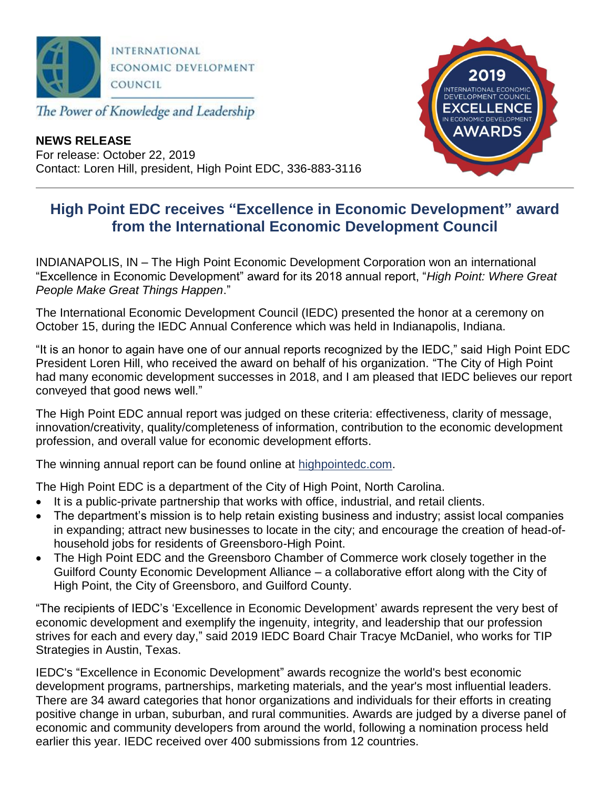

The Power of Knowledge and Leadership

**NEWS RELEASE** For release: October 22, 2019 Contact: Loren Hill, president, High Point EDC, 336-883-3116



## **High Point EDC receives "Excellence in Economic Development" award from the International Economic Development Council**

INDIANAPOLIS, IN – The High Point Economic Development Corporation won an international "Excellence in Economic Development" award for its 2018 annual report, "*High Point: Where Great People Make Great Things Happen*."

The International Economic Development Council (IEDC) presented the honor at a ceremony on October 15, during the IEDC Annual Conference which was held in Indianapolis, Indiana.

"It is an honor to again have one of our annual reports recognized by the IEDC," said High Point EDC President Loren Hill, who received the award on behalf of his organization. "The City of High Point had many economic development successes in 2018, and I am pleased that IEDC believes our report conveyed that good news well."

The High Point EDC annual report was judged on these criteria: effectiveness, clarity of message, innovation/creativity, quality/completeness of information, contribution to the economic development profession, and overall value for economic development efforts.

The winning annual report can be found online at highpointedc.com.

The High Point EDC is a department of the City of High Point, North Carolina.

- It is a public-private partnership that works with office, industrial, and retail clients.
- The department's mission is to help retain existing business and industry; assist local companies in expanding; attract new businesses to locate in the city; and encourage the creation of head-ofhousehold jobs for residents of Greensboro-High Point.
- The High Point EDC and the Greensboro Chamber of Commerce work closely together in the Guilford County Economic Development Alliance – a collaborative effort along with the City of High Point, the City of Greensboro, and Guilford County.

"The recipients of IEDC's 'Excellence in Economic Development' awards represent the very best of economic development and exemplify the ingenuity, integrity, and leadership that our profession strives for each and every day," said 2019 IEDC Board Chair Tracye McDaniel, who works for TIP Strategies in Austin, Texas.

IEDC's "Excellence in Economic Development" awards recognize the world's best economic development programs, partnerships, marketing materials, and the year's most influential leaders. There are 34 award categories that honor organizations and individuals for their efforts in creating positive change in urban, suburban, and rural communities. Awards are judged by a diverse panel of economic and community developers from around the world, following a nomination process held earlier this year. IEDC received over 400 submissions from 12 countries.